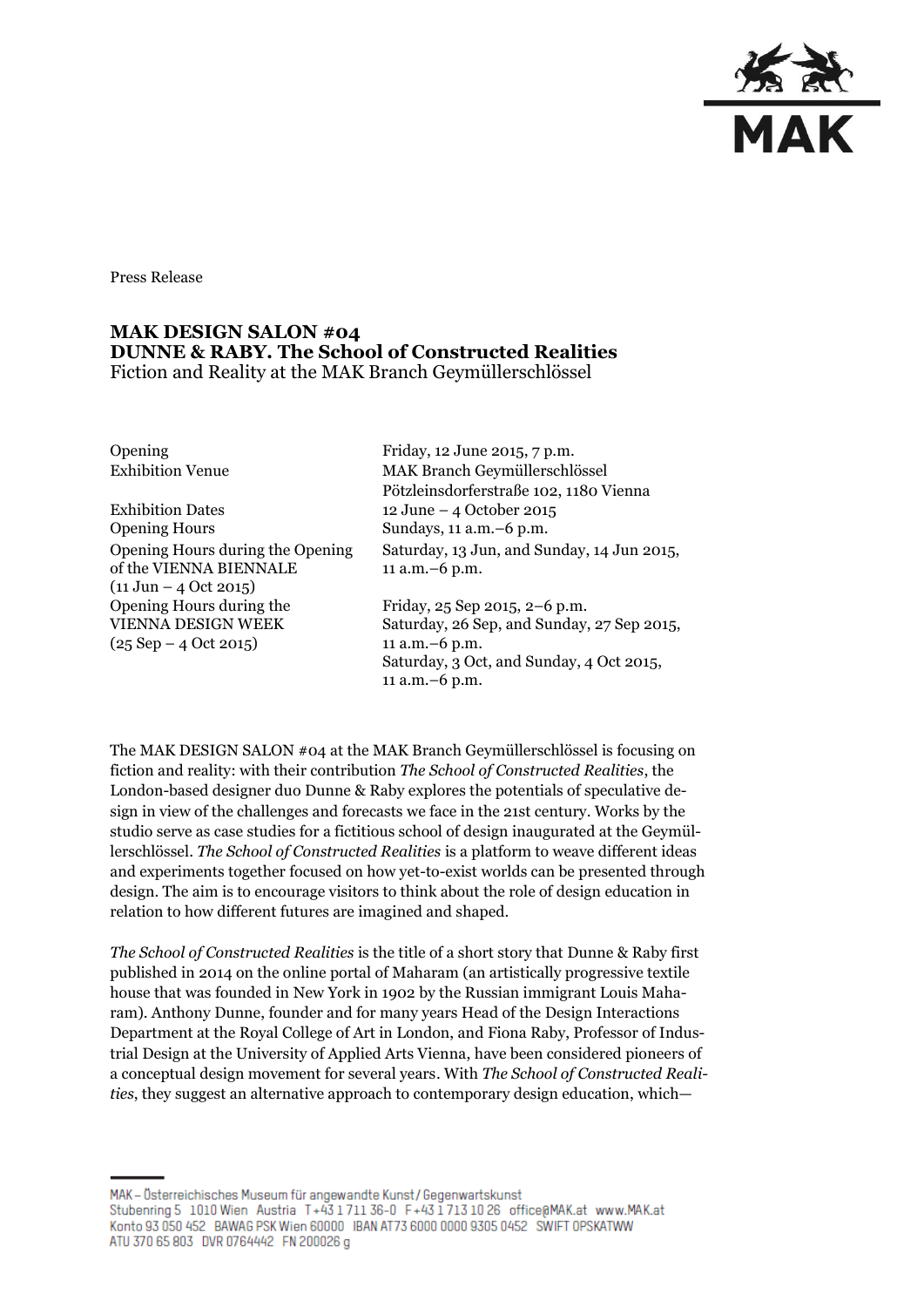

Press Release

## **MAK DESIGN SALON #04 DUNNE & RABY. The School of Constructed Realities** Fiction and Reality at the MAK Branch Geymüllerschlössel

Exhibition Dates 12 June – 4 October 2015 Opening Hours Sundays, 11 a.m. –6 p.m. Opening Hours during the Opening of the VIENNA BIENNALE  $(11 \text{ Jun} - 4 \text{ Oct } 2015)$ Opening Hours during the VIENNA DESIGN WEEK  $(25$  Sep  $- 4$  Oct 2015)

Opening Friday, 12 June 2015, 7 p.m. Exhibition Venue MAK Branch Geymüllerschlössel Pötzleinsdorferstraße 102, 1180 Vienna Saturday, 13 Jun, and Sunday, 14 Jun 2015, 11 a.m.–6 p.m. Friday, 25 Sep 2015, 2–6 p.m.

Saturday, 26 Sep, and Sunday, 27 Sep 2015, 11 a.m.–6 p.m. Saturday, 3 Oct, and Sunday, 4 Oct 2015, 11 a.m.–6 p.m.

The MAK DESIGN SALON #04 at the MAK Branch Geymüllerschlössel is focusing on fiction and reality: with their contribution *The School of Constructed Realities*, the London-based designer duo Dunne & Raby explores the potentials of speculative design in view of the challenges and forecasts we face in the 21st century. Works by the studio serve as case studies for a fictitious school of design inaugurated at the Geymüllerschlössel. *The School of Constructed Realities* is a platform to weave different ideas and experiments together focused on how yet-to-exist worlds can be presented through design. The aim is to encourage visitors to think about the role of design education in relation to how different futures are imagined and shaped.

*The School of Constructed Realities* is the title of a short story that Dunne & Raby first published in 2014 on the online portal of Maharam (an artistically progressive textile house that was founded in New York in 1902 by the Russian immigrant Louis Maharam). Anthony Dunne, founder and for many years Head of the Design Interactions Department at the Royal College of Art in London, and Fiona Raby, Professor of Industrial Design at the University of Applied Arts Vienna, have been considered pioneers of a conceptual design movement for several years. With *The School of Constructed Realities*, they suggest an alternative approach to contemporary design education, which—

MAK - Österreichisches Museum für angewandte Kunst / Gegenwartskunst Stubenring 5 1010 Wien Austria T+43 1711 36-0 F+43 1713 10 26 office@MAK.at www.MAK.at Konto 93 050 452 BAWAG PSK Wien 60000 BAN AT73 6000 0000 9305 0452 SWIFT OPSKATWW ATU 370 65 803 DVR 0764442 FN 200026 g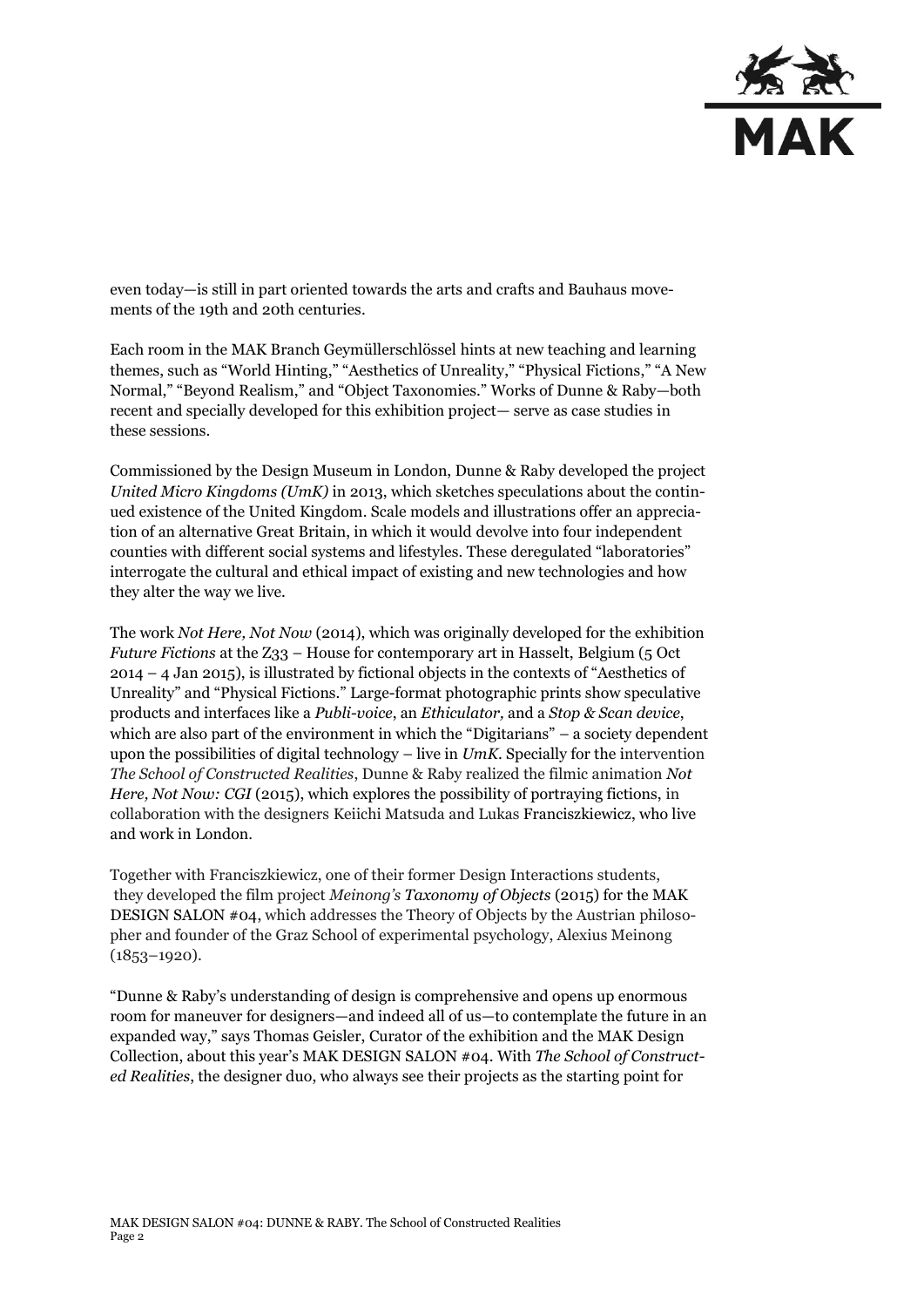

even today—is still in part oriented towards the arts and crafts and Bauhaus movements of the 19th and 20th centuries.

Each room in the MAK Branch Geymüllerschlössel hints at new teaching and learning themes, such as "World Hinting," "Aesthetics of Unreality," "Physical Fictions," "A New Normal," "Beyond Realism," and "Object Taxonomies." Works of Dunne & Raby—both recent and specially developed for this exhibition project— serve as case studies in these sessions.

Commissioned by the Design Museum in London, Dunne & Raby developed the project *United Micro Kingdoms (UmK)* in 2013, which sketches speculations about the continued existence of the United Kingdom. Scale models and illustrations offer an appreciation of an alternative Great Britain, in which it would devolve into four independent counties with different social systems and lifestyles. These deregulated "laboratories" interrogate the cultural and ethical impact of existing and new technologies and how they alter the way we live.

The work *Not Here, Not Now* (2014), which was originally developed for the exhibition *Future Fictions* at the Z33 – House for contemporary art in Hasselt, Belgium (5 Oct 2014 – 4 Jan 2015), is illustrated by fictional objects in the contexts of "Aesthetics of Unreality" and "Physical Fictions." Large-format photographic prints show speculative products and interfaces like a *Publi-voice*, an *Ethiculator,* and a *Stop & Scan device*, which are also part of the environment in which the "Digitarians" – a society dependent upon the possibilities of digital technology – live in *UmK*. Specially for the intervention *The School of Constructed Realities*, Dunne & Raby realized the filmic animation *Not Here, Not Now: CGI* (2015), which explores the possibility of portraying fictions, in collaboration with the designers Keiichi Matsuda and Lukas Franciszkiewicz, who live and work in London.

Together with Franciszkiewicz, one of their former Design Interactions students, they developed the film project *Meinong's Taxonomy of Objects* (2015) for the MAK DESIGN SALON #04, which addresses the Theory of Objects by the Austrian philosopher and founder of the Graz School of experimental psychology, Alexius Meinong (1853–1920).

"Dunne & Raby's understanding of design is comprehensive and opens up enormous room for maneuver for designers—and indeed all of us—to contemplate the future in an expanded way," says Thomas Geisler, Curator of the exhibition and the MAK Design Collection, about this year's MAK DESIGN SALON #04. With *The School of Constructed Realities*, the designer duo, who always see their projects as the starting point for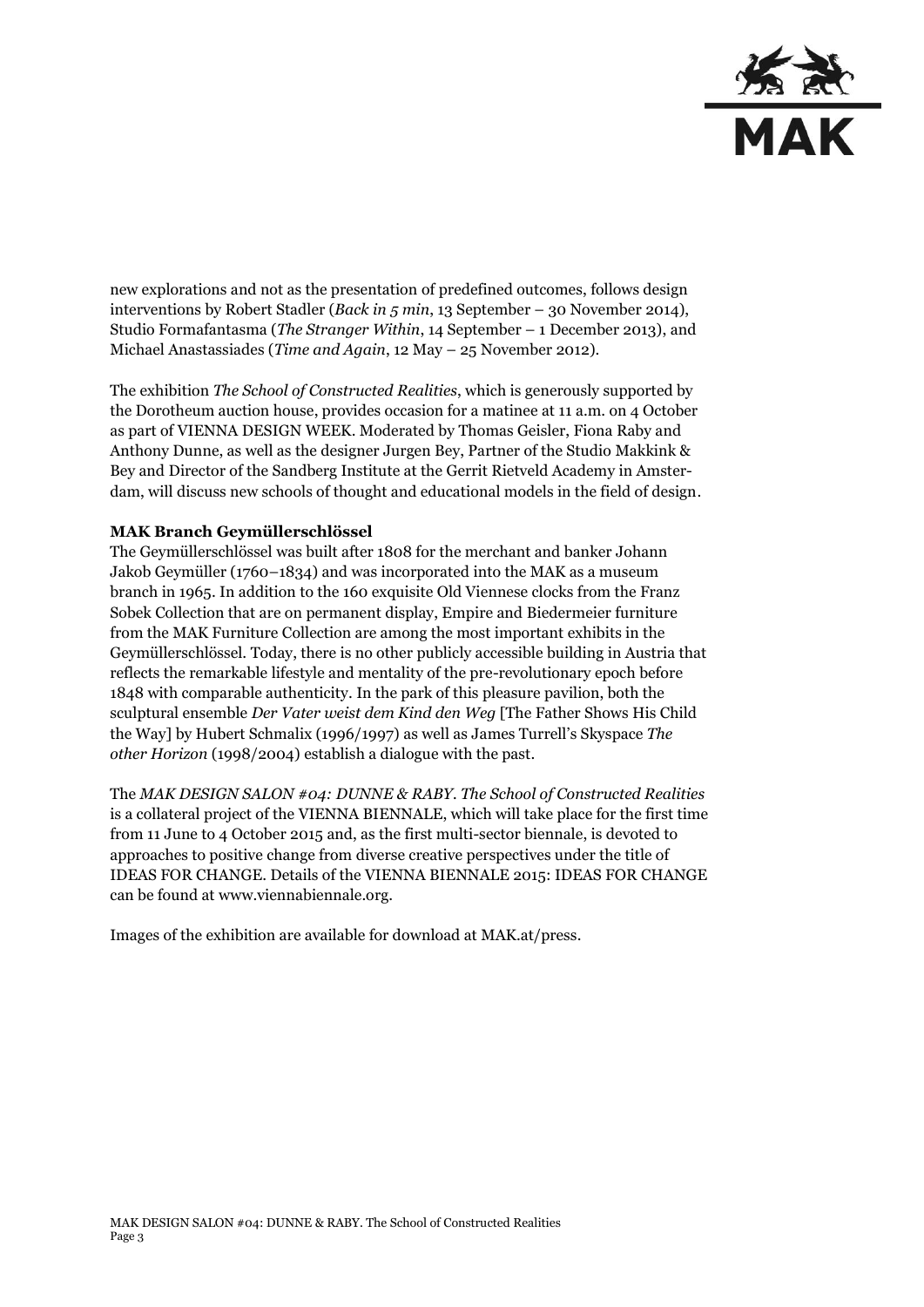

new explorations and not as the presentation of predefined outcomes, follows design interventions by Robert Stadler (*Back in 5 min*, 13 September – 30 November 2014), Studio Formafantasma (*The Stranger Within*, 14 September – 1 December 2013), and Michael Anastassiades (*Time and Again*, 12 May – 25 November 2012).

The exhibition *The School of Constructed Realities*, which is generously supported by the Dorotheum auction house, provides occasion for a matinee at 11 a.m. on 4 October as part of VIENNA DESIGN WEEK. Moderated by Thomas Geisler, Fiona Raby and Anthony Dunne, as well as the designer Jurgen Bey, Partner of the Studio Makkink & Bey and Director of the Sandberg Institute at the Gerrit Rietveld Academy in Amsterdam, will discuss new schools of thought and educational models in the field of design.

## **MAK Branch Geymüllerschlössel**

The Geymüllerschlössel was built after 1808 for the merchant and banker Johann Jakob Geymüller (1760–1834) and was incorporated into the MAK as a museum branch in 1965. In addition to the 160 exquisite Old Viennese clocks from the Franz Sobek Collection that are on permanent display, Empire and Biedermeier furniture from the MAK Furniture Collection are among the most important exhibits in the Geymüllerschlössel. Today, there is no other publicly accessible building in Austria that reflects the remarkable lifestyle and mentality of the pre-revolutionary epoch before 1848 with comparable authenticity. In the park of this pleasure pavilion, both the sculptural ensemble *Der Vater weist dem Kind den Weg* [The Father Shows His Child the Way] by Hubert Schmalix (1996/1997) as well as James Turrell's Skyspace *The other Horizon* (1998/2004) establish a dialogue with the past.

The *MAK DESIGN SALON #04: DUNNE & RABY. The School of Constructed Realities* is a collateral project of the VIENNA BIENNALE, which will take place for the first time from 11 June to 4 October 2015 and, as the first multi-sector biennale, is devoted to approaches to positive change from diverse creative perspectives under the title of IDEAS FOR CHANGE. Details of the VIENNA BIENNALE 2015: IDEAS FOR CHANGE can be found at www.viennabiennale.org.

Images of the exhibition are available for download at MAK.at/press.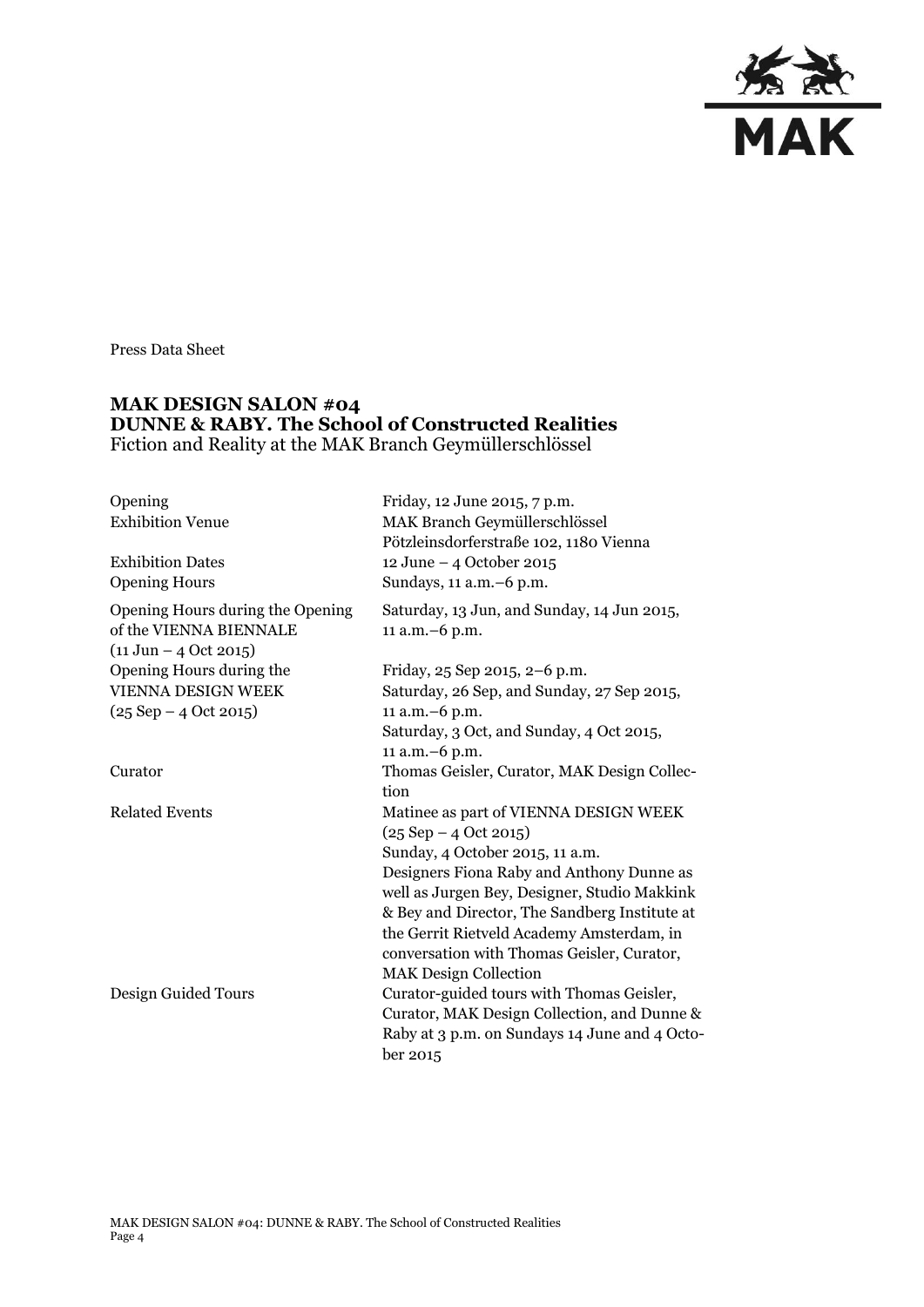

Press Data Sheet

## **MAK DESIGN SALON #04 DUNNE & RABY. The School of Constructed Realities** Fiction and Reality at the MAK Branch Geymüllerschlössel

| Opening<br><b>Exhibition Venue</b><br><b>Exhibition Dates</b><br><b>Opening Hours</b>                  | Friday, 12 June 2015, 7 p.m.<br>MAK Branch Geymüllerschlössel<br>Pötzleinsdorferstraße 102, 1180 Vienna<br>12 June - 4 October 2015<br>Sundays, 11 a.m. - 6 p.m.                                                                                                                                                                                                               |
|--------------------------------------------------------------------------------------------------------|--------------------------------------------------------------------------------------------------------------------------------------------------------------------------------------------------------------------------------------------------------------------------------------------------------------------------------------------------------------------------------|
| Opening Hours during the Opening<br>of the VIENNA BIENNALE<br>$(11 \text{ Jun} - 4 \text{ Oct } 2015)$ | Saturday, 13 Jun, and Sunday, 14 Jun 2015,<br>11 a.m. - 6 p.m.                                                                                                                                                                                                                                                                                                                 |
| Opening Hours during the<br>VIENNA DESIGN WEEK                                                         | Friday, 25 Sep 2015, 2-6 p.m.<br>Saturday, 26 Sep, and Sunday, 27 Sep 2015,                                                                                                                                                                                                                                                                                                    |
| $(25$ Sep $- 4$ Oct 2015)                                                                              | 11 a.m. - 6 p.m.<br>Saturday, 3 Oct, and Sunday, 4 Oct 2015,<br>11 a.m. - 6 p.m.                                                                                                                                                                                                                                                                                               |
| Curator                                                                                                | Thomas Geisler, Curator, MAK Design Collec-<br>tion                                                                                                                                                                                                                                                                                                                            |
| <b>Related Events</b>                                                                                  | Matinee as part of VIENNA DESIGN WEEK<br>$(25$ Sep $- 4$ Oct 2015)<br>Sunday, 4 October 2015, 11 a.m.<br>Designers Fiona Raby and Anthony Dunne as<br>well as Jurgen Bey, Designer, Studio Makkink<br>& Bey and Director, The Sandberg Institute at<br>the Gerrit Rietveld Academy Amsterdam, in<br>conversation with Thomas Geisler, Curator,<br><b>MAK Design Collection</b> |
| Design Guided Tours                                                                                    | Curator-guided tours with Thomas Geisler,<br>Curator, MAK Design Collection, and Dunne &<br>Raby at 3 p.m. on Sundays 14 June and 4 Octo-<br>ber 2015                                                                                                                                                                                                                          |